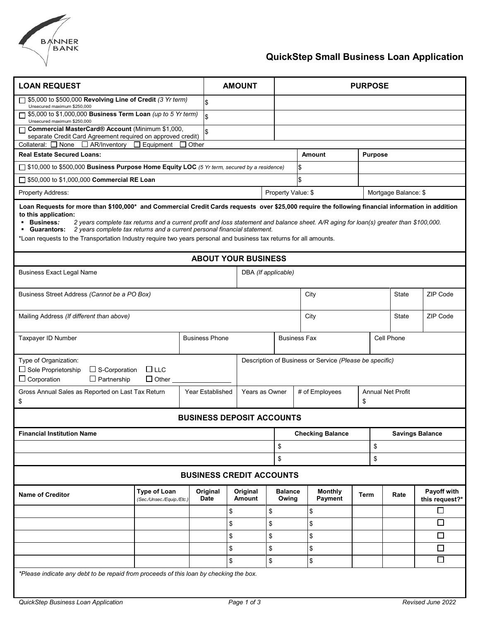

# **QuickStep Small Business Loan Application**

| <b>LOAN REQUEST</b>                                                                                                                                                                                                                                                                                                                                                                                                                                                                                                                                       | <b>AMOUNT</b>                                    |              |                         |                           | <b>PURPOSE</b> |                                            |                           |  |                                |                        |          |                               |  |
|-----------------------------------------------------------------------------------------------------------------------------------------------------------------------------------------------------------------------------------------------------------------------------------------------------------------------------------------------------------------------------------------------------------------------------------------------------------------------------------------------------------------------------------------------------------|--------------------------------------------------|--------------|-------------------------|---------------------------|----------------|--------------------------------------------|---------------------------|--|--------------------------------|------------------------|----------|-------------------------------|--|
| 55,000 to \$500,000 Revolving Line of Credit (3 Yr term)<br>Unsecured maximum \$250,000                                                                                                                                                                                                                                                                                                                                                                                                                                                                   |                                                  |              | \$                      |                           |                |                                            |                           |  |                                |                        |          |                               |  |
| □ \$5,000 to \$1,000,000 Business Term Loan (up to 5 Yr term)                                                                                                                                                                                                                                                                                                                                                                                                                                                                                             |                                                  |              | \$                      |                           |                |                                            |                           |  |                                |                        |          |                               |  |
| Unsecured maximum \$250,000<br>Commercial MasterCard® Account (Minimum \$1,000,                                                                                                                                                                                                                                                                                                                                                                                                                                                                           |                                                  | \$.          |                         |                           |                |                                            |                           |  |                                |                        |          |                               |  |
| separate Credit Card Agreement required on approved credit)<br>$\Box$ AR/Inventory $\Box$ Equipment<br>Collateral: $\Box$ None                                                                                                                                                                                                                                                                                                                                                                                                                            |                                                  | $\Box$ Other |                         |                           |                |                                            |                           |  |                                |                        |          |                               |  |
| <b>Real Estate Secured Loans:</b>                                                                                                                                                                                                                                                                                                                                                                                                                                                                                                                         |                                                  |              |                         |                           |                |                                            | Amount                    |  |                                | <b>Purpose</b>         |          |                               |  |
| □ \$10,000 to \$500,000 Business Purpose Home Equity LOC (5 Yr term, secured by a residence)                                                                                                                                                                                                                                                                                                                                                                                                                                                              |                                                  |              |                         |                           |                |                                            |                           |  |                                |                        |          |                               |  |
| □ \$50,000 to \$1,000,000 Commercial RE Loan                                                                                                                                                                                                                                                                                                                                                                                                                                                                                                              |                                                  |              |                         |                           |                |                                            |                           |  |                                |                        |          |                               |  |
| Property Address:                                                                                                                                                                                                                                                                                                                                                                                                                                                                                                                                         |                                                  |              |                         |                           |                | Property Value: \$<br>Mortgage Balance: \$ |                           |  |                                |                        |          |                               |  |
| Loan Requests for more than \$100,000* and Commercial Credit Cards requests over \$25,000 require the following financial information in addition<br>to this application:<br><b>Business:</b><br>2 years complete tax returns and a current profit and loss statement and balance sheet. A/R aging for loan(s) greater than \$100,000.<br>2 years complete tax returns and a current personal financial statement.<br>• Guarantors:<br>*Loan requests to the Transportation Industry require two years personal and business tax returns for all amounts. |                                                  |              |                         |                           |                |                                            |                           |  |                                |                        |          |                               |  |
| <b>ABOUT YOUR BUSINESS</b>                                                                                                                                                                                                                                                                                                                                                                                                                                                                                                                                |                                                  |              |                         |                           |                |                                            |                           |  |                                |                        |          |                               |  |
| <b>Business Exact Legal Name</b>                                                                                                                                                                                                                                                                                                                                                                                                                                                                                                                          |                                                  |              |                         | DBA (If applicable)       |                |                                            |                           |  |                                |                        |          |                               |  |
| Business Street Address (Cannot be a PO Box)                                                                                                                                                                                                                                                                                                                                                                                                                                                                                                              |                                                  |              |                         |                           |                | City<br><b>State</b>                       |                           |  |                                |                        | ZIP Code |                               |  |
| Mailing Address (If different than above)                                                                                                                                                                                                                                                                                                                                                                                                                                                                                                                 |                                                  |              |                         |                           |                |                                            | ZIP Code<br>City<br>State |  |                                |                        |          |                               |  |
| <b>Business Phone</b><br>Taxpayer ID Number                                                                                                                                                                                                                                                                                                                                                                                                                                                                                                               |                                                  |              |                         |                           |                | <b>Business Fax</b><br>Cell Phone          |                           |  |                                |                        |          |                               |  |
| Type of Organization:<br>Description of Business or Service (Please be specific)<br>$\Box$ LLC<br>$\Box$ Sole Proprietorship<br>$\Box$ S-Corporation<br>$\Box$ Corporation<br>$\Box$ Partnership<br>$\Box$ Other                                                                                                                                                                                                                                                                                                                                          |                                                  |              |                         |                           |                |                                            |                           |  |                                |                        |          |                               |  |
| Gross Annual Sales as Reported on Last Tax Return<br>\$                                                                                                                                                                                                                                                                                                                                                                                                                                                                                                   |                                                  |              | Year Established        | Years as Owner            |                | # of Employees                             |                           |  | <b>Annual Net Profit</b><br>\$ |                        |          |                               |  |
| <b>BUSINESS DEPOSIT ACCOUNTS</b>                                                                                                                                                                                                                                                                                                                                                                                                                                                                                                                          |                                                  |              |                         |                           |                |                                            |                           |  |                                |                        |          |                               |  |
| <b>Financial Institution Name</b>                                                                                                                                                                                                                                                                                                                                                                                                                                                                                                                         |                                                  |              |                         |                           |                | <b>Checking Balance</b>                    |                           |  |                                | <b>Savings Balance</b> |          |                               |  |
|                                                                                                                                                                                                                                                                                                                                                                                                                                                                                                                                                           |                                                  |              |                         |                           |                | \$                                         | \$                        |  |                                |                        |          |                               |  |
|                                                                                                                                                                                                                                                                                                                                                                                                                                                                                                                                                           |                                                  |              |                         |                           |                | \$                                         | \$                        |  |                                |                        |          |                               |  |
| <b>BUSINESS CREDIT ACCOUNTS</b>                                                                                                                                                                                                                                                                                                                                                                                                                                                                                                                           |                                                  |              |                         |                           |                |                                            |                           |  |                                |                        |          |                               |  |
| <b>Name of Creditor</b>                                                                                                                                                                                                                                                                                                                                                                                                                                                                                                                                   | <b>Type of Loan</b><br>(Sec./Unsec./Equip./Etc.) |              | Original<br><b>Date</b> | Original<br><b>Amount</b> |                | <b>Balance</b><br>Owing                    | <b>Monthly</b><br>Payment |  | Term                           |                        | Rate     | Payoff with<br>this request?* |  |
|                                                                                                                                                                                                                                                                                                                                                                                                                                                                                                                                                           |                                                  |              | \$                      |                           | \$             |                                            | \$                        |  |                                |                        |          | □                             |  |
|                                                                                                                                                                                                                                                                                                                                                                                                                                                                                                                                                           |                                                  |              | \$                      |                           | \$             |                                            | \$                        |  |                                |                        |          | $\Box$                        |  |
|                                                                                                                                                                                                                                                                                                                                                                                                                                                                                                                                                           |                                                  |              | \$                      |                           | \$             |                                            | \$                        |  |                                |                        |          | $\Box$                        |  |
|                                                                                                                                                                                                                                                                                                                                                                                                                                                                                                                                                           |                                                  |              | \$                      |                           | \$             |                                            | \$                        |  |                                |                        |          | $\Box$                        |  |
|                                                                                                                                                                                                                                                                                                                                                                                                                                                                                                                                                           |                                                  |              | \$                      |                           | \$             |                                            | \$                        |  |                                |                        |          | $\Box$                        |  |
| *Please indicate any debt to be repaid from proceeds of this loan by checking the box.                                                                                                                                                                                                                                                                                                                                                                                                                                                                    |                                                  |              |                         |                           |                |                                            |                           |  |                                |                        |          |                               |  |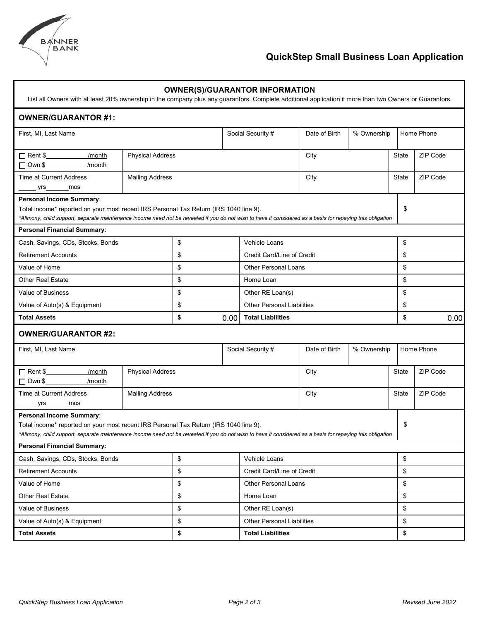

## **QuickStep Small Business Loan Application**

| List all Owners with at least 20% ownership in the company plus any guarantors. Complete additional application if more than two Owners or Guarantors.                                                                                                                                |                                   |    |                                   | <b>OWNER(S)/GUARANTOR INFORMATION</b> |                                                    |            |          |          |  |
|---------------------------------------------------------------------------------------------------------------------------------------------------------------------------------------------------------------------------------------------------------------------------------------|-----------------------------------|----|-----------------------------------|---------------------------------------|----------------------------------------------------|------------|----------|----------|--|
| <b>OWNER/GUARANTOR #1:</b>                                                                                                                                                                                                                                                            |                                   |    |                                   |                                       |                                                    |            |          |          |  |
| First, MI, Last Name                                                                                                                                                                                                                                                                  |                                   |    | Social Security #                 | Date of Birth<br>% Ownership          |                                                    | Home Phone |          |          |  |
| □ Rent \$<br>/month<br>□ Own \$_____________/month                                                                                                                                                                                                                                    | <b>Physical Address</b>           |    |                                   |                                       | City                                               |            | State    | ZIP Code |  |
| Time at Current Address<br>yrs_________mos                                                                                                                                                                                                                                            | <b>Mailing Address</b>            |    |                                   |                                       | City                                               |            | State    | ZIP Code |  |
| Personal Income Summary:<br>\$<br>Total income* reported on your most recent IRS Personal Tax Return (IRS 1040 line 9).<br>*Alimony, child support, separate maintenance income need not be revealed if you do not wish to have it considered as a basis for repaying this obligation |                                   |    |                                   |                                       |                                                    |            |          |          |  |
| <b>Personal Financial Summary:</b>                                                                                                                                                                                                                                                    |                                   |    |                                   |                                       |                                                    |            | \$       |          |  |
|                                                                                                                                                                                                                                                                                       | Cash, Savings, CDs, Stocks, Bonds |    | \$                                |                                       | <b>Vehicle Loans</b><br>Credit Card/Line of Credit |            |          |          |  |
| <b>Retirement Accounts</b>                                                                                                                                                                                                                                                            |                                   | \$ |                                   |                                       | \$<br>\$                                           |            |          |          |  |
| Value of Home                                                                                                                                                                                                                                                                         |                                   | \$ |                                   | <b>Other Personal Loans</b>           |                                                    |            |          |          |  |
| <b>Other Real Estate</b>                                                                                                                                                                                                                                                              | \$                                |    |                                   | Home Loan<br>Other RE Loan(s)         |                                                    |            | \$<br>\$ |          |  |
| Value of Business                                                                                                                                                                                                                                                                     |                                   | \$ |                                   | <b>Other Personal Liabilities</b>     |                                                    |            |          | \$       |  |
| Value of Auto(s) & Equipment<br><b>Total Assets</b>                                                                                                                                                                                                                                   | \$<br>\$                          |    |                                   | <b>Total Liabilities</b>              |                                                    |            |          | \$       |  |
|                                                                                                                                                                                                                                                                                       | 0.00                              |    |                                   |                                       |                                                    |            | 0.00     |          |  |
| <b>OWNER/GUARANTOR #2:</b>                                                                                                                                                                                                                                                            |                                   |    |                                   |                                       |                                                    |            |          |          |  |
| First, MI, Last Name                                                                                                                                                                                                                                                                  | Social Security #                 |    |                                   | % Ownership<br>Date of Birth          |                                                    | Home Phone |          |          |  |
| $\Box$ Rent \$<br>/month<br>□ Own \$_____________/month                                                                                                                                                                                                                               | <b>Physical Address</b>           |    |                                   |                                       | City                                               |            | State    | ZIP Code |  |
| Time at Current Address<br>mos<br>yrs___                                                                                                                                                                                                                                              | <b>Mailing Address</b>            |    |                                   |                                       | City                                               |            | State    | ZIP Code |  |
| Personal Income Summary:<br>Total income* reported on your most recent IRS Personal Tax Return (IRS 1040 line 9).<br>\$<br>*Alimony, child support, separate maintenance income need not be revealed if you do not wish to have it considered as a basis for repaying this obligation |                                   |    |                                   |                                       |                                                    |            |          |          |  |
| <b>Personal Financial Summary:</b>                                                                                                                                                                                                                                                    |                                   |    |                                   |                                       |                                                    |            |          |          |  |
| Cash, Savings, CDs, Stocks, Bonds                                                                                                                                                                                                                                                     | \$<br>Vehicle Loans               |    |                                   |                                       |                                                    | \$         |          |          |  |
| <b>Retirement Accounts</b>                                                                                                                                                                                                                                                            |                                   | \$ |                                   | Credit Card/Line of Credit            | \$                                                 |            |          |          |  |
| Value of Home                                                                                                                                                                                                                                                                         |                                   | \$ |                                   | <b>Other Personal Loans</b>           | \$                                                 |            |          |          |  |
| <b>Other Real Estate</b>                                                                                                                                                                                                                                                              |                                   | \$ |                                   | Home Loan                             |                                                    |            |          | \$       |  |
| Value of Business                                                                                                                                                                                                                                                                     | \$                                |    | Other RE Loan(s)                  |                                       |                                                    |            | \$       |          |  |
|                                                                                                                                                                                                                                                                                       | \$                                |    | <b>Other Personal Liabilities</b> |                                       |                                                    |            | \$       |          |  |
| Value of Auto(s) & Equipment                                                                                                                                                                                                                                                          |                                   |    |                                   |                                       |                                                    |            |          |          |  |